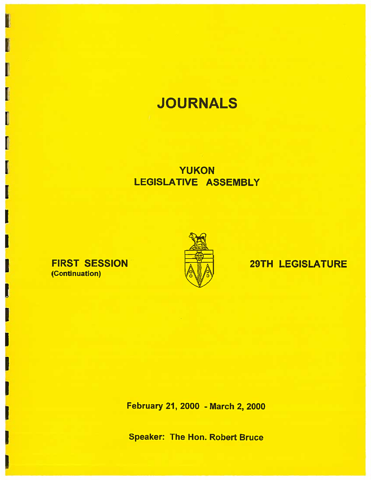# **JOURNALS**

## **YUKON** LEGISLATIVE ASSEMBLY

### **FIRST SESSION** (Continuation)



## **29TH LEGISLATURE**

February 21, 2000 - March 2, 2000

**Speaker: The Hon. Robert Bruce**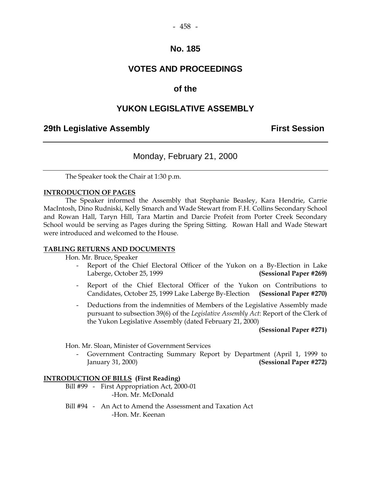### **VOTES AND PROCEEDINGS**

### **of the**

### **YUKON LEGISLATIVE ASSEMBLY**

### **29th Legislative Assembly Constructed Assembly Constructed Assembly** First Session

### Monday, February 21, 2000

The Speaker took the Chair at 1:30 p.m.

#### **INTRODUCTION OF PAGES**

 The Speaker informed the Assembly that Stephanie Beasley, Kara Hendrie, Carrie MacIntosh, Dino Rudniski, Kelly Smarch and Wade Stewart from F.H. Collins Secondary School and Rowan Hall, Taryn Hill, Tara Martin and Darcie Profeit from Porter Creek Secondary School would be serving as Pages during the Spring Sitting. Rowan Hall and Wade Stewart were introduced and welcomed to the House.

#### **TABLING RETURNS AND DOCUMENTS**

Hon. Mr. Bruce, Speaker

- Report of the Chief Electoral Officer of the Yukon on a By-Election in Lake Laberge, October 25, 1999 **(Sessional Paper #269)**
- Report of the Chief Electoral Officer of the Yukon on Contributions to Candidates, October 25, 1999 Lake Laberge By-Election **(Sessional Paper #270)**
- Deductions from the indemnities of Members of the Legislative Assembly made pursuant to subsection 39(6) of the *Legislative Assembly Act*: Report of the Clerk of the Yukon Legislative Assembly (dated February 21, 2000)

 **(Sessional Paper #271)** 

Hon. Mr. Sloan, Minister of Government Services

 - Government Contracting Summary Report by Department (April 1, 1999 to January 31, 2000) **(Sessional Paper #272)** 

#### **INTRODUCTION OF BILLS (First Reading)**

- Bill #99 First Appropriation Act, 2000-01 -Hon. Mr. McDonald
- Bill #94 An Act to Amend the Assessment and Taxation Act -Hon. Mr. Keenan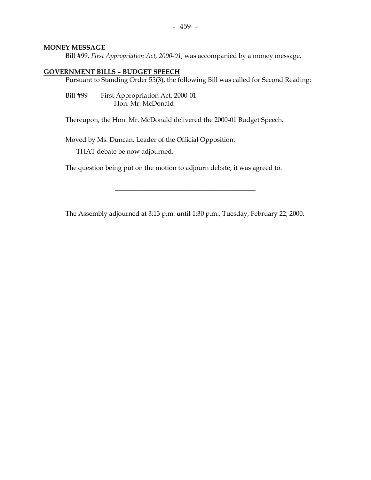#### **MONEY MESSAGE**

Bill #99, *First Appropriation Act, 2000-01*, was accompanied by a money message.

#### **GOVERNMENT BILLS – BUDGET SPEECH**

Pursuant to Standing Order 55(3), the following Bill was called for Second Reading:

 Bill #99 - First Appropriation Act, 2000-01 -Hon. Mr. McDonald

Thereupon, the Hon. Mr. McDonald delivered the 2000-01 Budget Speech.

Moved by Ms. Duncan, Leader of the Official Opposition:

THAT debate be now adjourned.

The question being put on the motion to adjourn debate, it was agreed to.

The Assembly adjourned at 3:13 p.m. until 1:30 p.m., Tuesday, February 22, 2000.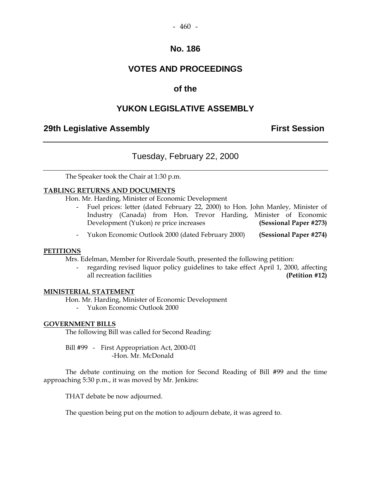#### $-460 -$

### **No. 186**

### **VOTES AND PROCEEDINGS**

### **of the**

### **YUKON LEGISLATIVE ASSEMBLY**

### **29th Legislative Assembly Constructed Assembly** First Session

### Tuesday, February 22, 2000

The Speaker took the Chair at 1:30 p.m.

#### **TABLING RETURNS AND DOCUMENTS**

Hon. Mr. Harding, Minister of Economic Development

- Fuel prices: letter (dated February 22, 2000) to Hon. John Manley, Minister of Industry (Canada) from Hon. Trevor Harding, Minister of Economic Development (Yukon) re price increases **(Sessional Paper #273)**
- Yukon Economic Outlook 2000 (dated February 2000) **(Sessional Paper #274)**

#### **PETITIONS**

Mrs. Edelman, Member for Riverdale South, presented the following petition:

regarding revised liquor policy guidelines to take effect April 1, 2000, affecting all recreation facilities **(Petition #12)** 

#### **MINISTERIAL STATEMENT**

Hon. Mr. Harding, Minister of Economic Development

- Yukon Economic Outlook 2000

#### **GOVERNMENT BILLS**

The following Bill was called for Second Reading:

 Bill #99 - First Appropriation Act, 2000-01 -Hon. Mr. McDonald

 The debate continuing on the motion for Second Reading of Bill #99 and the time approaching 5:30 p.m., it was moved by Mr. Jenkins:

THAT debate be now adjourned.

The question being put on the motion to adjourn debate, it was agreed to.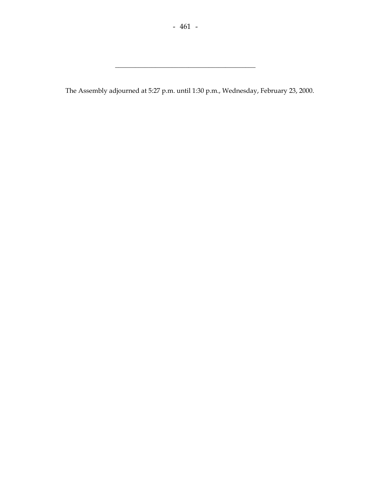\_\_\_\_\_\_\_\_\_\_\_\_\_\_\_\_\_\_\_\_\_\_\_\_\_\_\_\_\_\_\_\_\_\_\_\_\_\_\_\_\_\_

The Assembly adjourned at 5:27 p.m. until 1:30 p.m., Wednesday, February 23, 2000.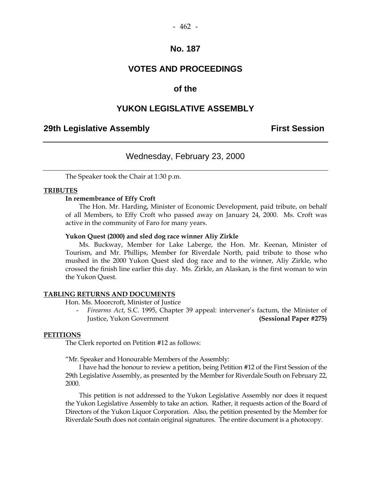### **VOTES AND PROCEEDINGS**

### **of the**

### **YUKON LEGISLATIVE ASSEMBLY**

### **29th Legislative Assembly Constructed Assembly Constructed Assembly** First Session

### Wednesday, February 23, 2000

The Speaker took the Chair at 1:30 p.m.

#### **TRIBUTES**

#### **In remembrance of Effy Croft**

 The Hon. Mr. Harding, Minister of Economic Development, paid tribute, on behalf of all Members, to Effy Croft who passed away on January 24, 2000. Ms. Croft was active in the community of Faro for many years.

#### **Yukon Quest (2000) and sled dog race winner Aliy Zirkle**

 Ms. Buckway, Member for Lake Laberge, the Hon. Mr. Keenan, Minister of Tourism, and Mr. Phillips, Member for Riverdale North, paid tribute to those who mushed in the 2000 Yukon Quest sled dog race and to the winner, Aliy Zirkle, who crossed the finish line earlier this day. Ms. Zirkle, an Alaskan, is the first woman to win the Yukon Quest.

#### **TABLING RETURNS AND DOCUMENTS**

Hon. Ms. Moorcroft, Minister of Justice

 - *Firearms Act*, S.C. 1995, Chapter 39 appeal: intervener's factum, the Minister of Justice, Yukon Government **(Sessional Paper #275)** 

#### **PETITIONS**

The Clerk reported on Petition #12 as follows:

"Mr. Speaker and Honourable Members of the Assembly:

 I have had the honour to review a petition, being Petition #12 of the First Session of the 29th Legislative Assembly, as presented by the Member for Riverdale South on February 22, 2000.

 This petition is not addressed to the Yukon Legislative Assembly nor does it request the Yukon Legislative Assembly to take an action. Rather, it requests action of the Board of Directors of the Yukon Liquor Corporation. Also, the petition presented by the Member for Riverdale South does not contain original signatures. The entire document is a photocopy.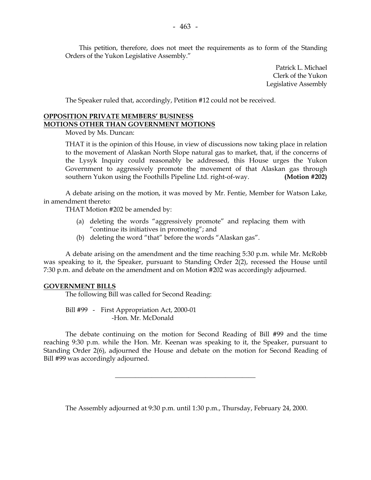This petition, therefore, does not meet the requirements as to form of the Standing Orders of the Yukon Legislative Assembly."

> Patrick L. Michael Clerk of the Yukon Legislative Assembly

The Speaker ruled that, accordingly, Petition #12 could not be received.

#### **OPPOSITION PRIVATE MEMBERS' BUSINESS MOTIONS OTHER THAN GOVERNMENT MOTIONS**

Moved by Ms. Duncan:

 THAT it is the opinion of this House, in view of discussions now taking place in relation to the movement of Alaskan North Slope natural gas to market, that, if the concerns of the Lysyk Inquiry could reasonably be addressed, this House urges the Yukon Government to aggressively promote the movement of that Alaskan gas through southern Yukon using the Foothills Pipeline Ltd. right-of-way. **(Motion #202)** 

A debate arising on the motion, it was moved by Mr. Fentie, Member for Watson Lake, in amendment thereto:

THAT Motion #202 be amended by:

- (a) deleting the words "aggressively promote" and replacing them with "continue its initiatives in promoting"; and
- (b) deleting the word "that" before the words "Alaskan gas".

 A debate arising on the amendment and the time reaching 5:30 p.m. while Mr. McRobb was speaking to it, the Speaker, pursuant to Standing Order 2(2), recessed the House until 7:30 p.m. and debate on the amendment and on Motion #202 was accordingly adjourned.

#### **GOVERNMENT BILLS**

The following Bill was called for Second Reading:

 Bill #99 - First Appropriation Act, 2000-01 -Hon. Mr. McDonald

 The debate continuing on the motion for Second Reading of Bill #99 and the time reaching 9:30 p.m. while the Hon. Mr. Keenan was speaking to it, the Speaker, pursuant to Standing Order 2(6), adjourned the House and debate on the motion for Second Reading of Bill #99 was accordingly adjourned.

\_\_\_\_\_\_\_\_\_\_\_\_\_\_\_\_\_\_\_\_\_\_\_\_\_\_\_\_\_\_\_\_\_\_\_\_\_\_\_\_\_\_

The Assembly adjourned at 9:30 p.m. until 1:30 p.m., Thursday, February 24, 2000.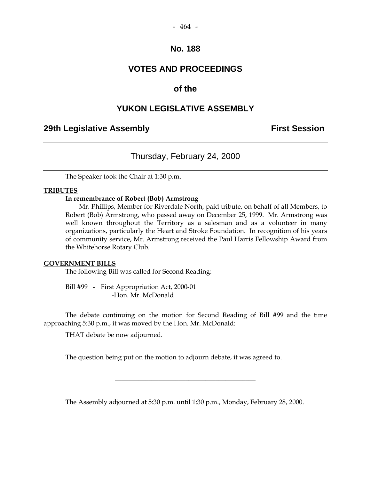### **VOTES AND PROCEEDINGS**

### **of the**

### **YUKON LEGISLATIVE ASSEMBLY**

### **29th Legislative Assembly Constructed Assembly** First Session

### Thursday, February 24, 2000

The Speaker took the Chair at 1:30 p.m.

#### **TRIBUTES**

#### **In remembrance of Robert (Bob) Armstrong**

 Mr. Phillips, Member for Riverdale North, paid tribute, on behalf of all Members, to Robert (Bob) Armstrong, who passed away on December 25, 1999. Mr. Armstrong was well known throughout the Territory as a salesman and as a volunteer in many organizations, particularly the Heart and Stroke Foundation. In recognition of his years of community service, Mr. Armstrong received the Paul Harris Fellowship Award from the Whitehorse Rotary Club.

#### **GOVERNMENT BILLS**

The following Bill was called for Second Reading:

 Bill #99 - First Appropriation Act, 2000-01 -Hon. Mr. McDonald

 The debate continuing on the motion for Second Reading of Bill #99 and the time approaching 5:30 p.m., it was moved by the Hon. Mr. McDonald:

THAT debate be now adjourned.

The question being put on the motion to adjourn debate, it was agreed to.

The Assembly adjourned at 5:30 p.m. until 1:30 p.m., Monday, February 28, 2000.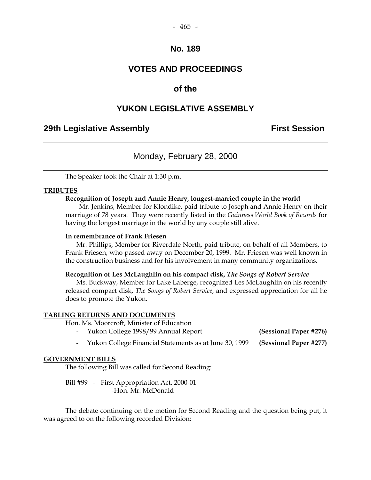### **VOTES AND PROCEEDINGS**

### **of the**

### **YUKON LEGISLATIVE ASSEMBLY**

### **29th Legislative Assembly Constructed Assembly Constructed Assembly** First Session

### Monday, February 28, 2000

The Speaker took the Chair at 1:30 p.m.

#### **TRIBUTES**

#### **Recognition of Joseph and Annie Henry, longest-married couple in the world**

 Mr. Jenkins, Member for Klondike, paid tribute to Joseph and Annie Henry on their marriage of 78 years. They were recently listed in the *Guinness World Book of Records* for having the longest marriage in the world by any couple still alive.

#### **In remembrance of Frank Friesen**

 Mr. Phillips, Member for Riverdale North, paid tribute, on behalf of all Members, to Frank Friesen, who passed away on December 20, 1999. Mr. Friesen was well known in the construction business and for his involvement in many community organizations.

#### **Recognition of Les McLaughlin on his compact disk,** *The Songs of Robert Service*

 Ms. Buckway, Member for Lake Laberge, recognized Les McLaughlin on his recently released compact disk, *The Songs of Robert Service*, and expressed appreciation for all he does to promote the Yukon.

#### **TABLING RETURNS AND DOCUMENTS**

Hon. Ms. Moorcroft, Minister of Education

- Yukon College 1998/99 Annual Report **(Sessional Paper #276)**
- Yukon College Financial Statements as at June 30, 1999 **(Sessional Paper #277)**

#### **GOVERNMENT BILLS**

The following Bill was called for Second Reading:

 Bill #99 - First Appropriation Act, 2000-01 -Hon. Mr. McDonald

 The debate continuing on the motion for Second Reading and the question being put, it was agreed to on the following recorded Division: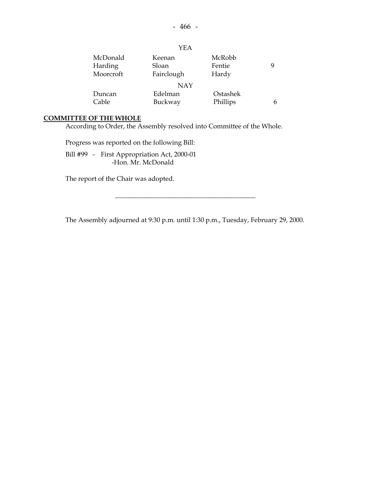|           | YEA        |          |   |
|-----------|------------|----------|---|
| McDonald  | Keenan     | McRobb   | 9 |
| Harding   | Sloan      | Fentie   |   |
| Moorcroft | Fairclough | Hardy    |   |
|           | <b>NAY</b> |          |   |
| Duncan    | Edelman    | Ostashek |   |
| Cable     | Buckway    | Phillips |   |

### **COMMITTEE OF THE WHOLE**

According to Order, the Assembly resolved into Committee of the Whole.

Progress was reported on the following Bill:

 Bill #99 - First Appropriation Act, 2000-01 -Hon. Mr. McDonald

The report of the Chair was adopted.

The Assembly adjourned at 9:30 p.m. until 1:30 p.m., Tuesday, February 29, 2000.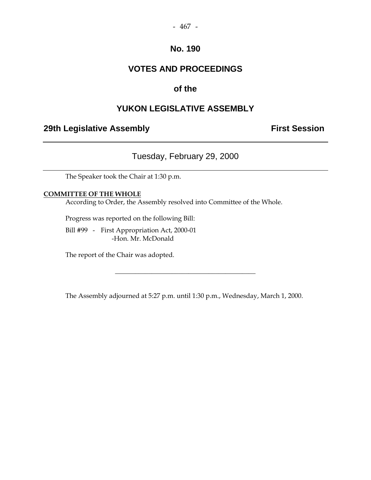### **VOTES AND PROCEEDINGS**

### **of the**

### **YUKON LEGISLATIVE ASSEMBLY**

### **29th Legislative Assembly Constructed Assembly** First Session

### Tuesday, February 29, 2000

The Speaker took the Chair at 1:30 p.m.

#### **COMMITTEE OF THE WHOLE**

According to Order, the Assembly resolved into Committee of the Whole.

Progress was reported on the following Bill:

 Bill #99 - First Appropriation Act, 2000-01 -Hon. Mr. McDonald

The report of the Chair was adopted.

The Assembly adjourned at 5:27 p.m. until 1:30 p.m., Wednesday, March 1, 2000.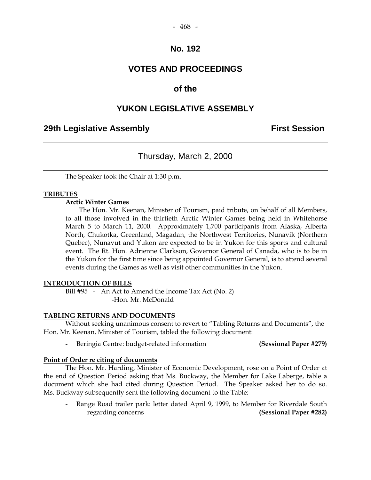### **VOTES AND PROCEEDINGS**

### **of the**

### **YUKON LEGISLATIVE ASSEMBLY**

### **29th Legislative Assembly Constructed Assembly Constructed Assembly** First Session

### Thursday, March 2, 2000

The Speaker took the Chair at 1:30 p.m.

#### **TRIBUTES**

#### **Arctic Winter Games**

 The Hon. Mr. Keenan, Minister of Tourism, paid tribute, on behalf of all Members, to all those involved in the thirtieth Arctic Winter Games being held in Whitehorse March 5 to March 11, 2000. Approximately 1,700 participants from Alaska, Alberta North, Chukotka, Greenland, Magadan, the Northwest Territories, Nunavik (Northern Quebec), Nunavut and Yukon are expected to be in Yukon for this sports and cultural event. The Rt. Hon. Adrienne Clarkson, Governor General of Canada, who is to be in the Yukon for the first time since being appointed Governor General, is to attend several events during the Games as well as visit other communities in the Yukon.

#### **INTRODUCTION OF BILLS**

Bill #95 - An Act to Amend the Income Tax Act (No. 2) -Hon. Mr. McDonald

#### **TABLING RETURNS AND DOCUMENTS**

 Without seeking unanimous consent to revert to "Tabling Returns and Documents", the Hon. Mr. Keenan, Minister of Tourism, tabled the following document:

- Beringia Centre: budget-related information **(Sessional Paper #279)** 

#### **Point of Order re citing of documents**

 The Hon. Mr. Harding, Minister of Economic Development, rose on a Point of Order at the end of Question Period asking that Ms. Buckway, the Member for Lake Laberge, table a document which she had cited during Question Period. The Speaker asked her to do so. Ms. Buckway subsequently sent the following document to the Table:

Range Road trailer park: letter dated April 9, 1999, to Member for Riverdale South regarding concerns **(Sessional Paper #282)**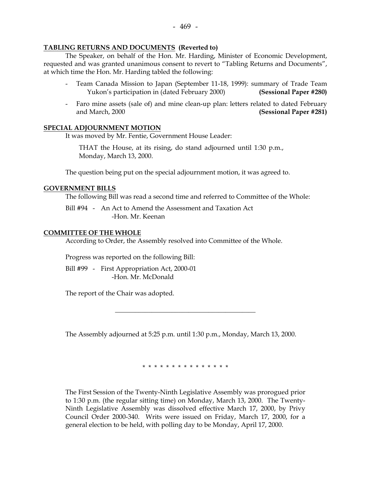#### **TABLING RETURNS AND DOCUMENTS (Reverted to)**

The Speaker, on behalf of the Hon. Mr. Harding, Minister of Economic Development, requested and was granted unanimous consent to revert to "Tabling Returns and Documents", at which time the Hon. Mr. Harding tabled the following:

- Team Canada Mission to Japan (September 11-18, 1999): summary of Trade Team Yukon's participation in (dated February 2000) **(Sessional Paper #280)**
- Faro mine assets (sale of) and mine clean-up plan: letters related to dated February and March, 2000 **(Sessional Paper #281)**

#### **SPECIAL ADJOURNMENT MOTION**

It was moved by Mr. Fentie, Government House Leader:

 THAT the House, at its rising, do stand adjourned until 1:30 p.m., Monday, March 13, 2000.

The question being put on the special adjournment motion, it was agreed to.

#### **GOVERNMENT BILLS**

The following Bill was read a second time and referred to Committee of the Whole:

 Bill #94 - An Act to Amend the Assessment and Taxation Act -Hon. Mr. Keenan

#### **COMMITTEE OF THE WHOLE**

According to Order, the Assembly resolved into Committee of the Whole.

Progress was reported on the following Bill:

 Bill #99 - First Appropriation Act, 2000-01 -Hon. Mr. McDonald

The report of the Chair was adopted.

The Assembly adjourned at 5:25 p.m. until 1:30 p.m., Monday, March 13, 2000.

\_\_\_\_\_\_\_\_\_\_\_\_\_\_\_\_\_\_\_\_\_\_\_\_\_\_\_\_\_\_\_\_\_\_\_\_\_\_\_\_\_\_

\* \* \* \* \* \* \* \* \* \* \* \* \* \* \*

The First Session of the Twenty-Ninth Legislative Assembly was prorogued prior to 1:30 p.m. (the regular sitting time) on Monday, March 13, 2000. The Twenty-Ninth Legislative Assembly was dissolved effective March 17, 2000, by Privy Council Order 2000-340. Writs were issued on Friday, March 17, 2000, for a general election to be held, with polling day to be Monday, April 17, 2000.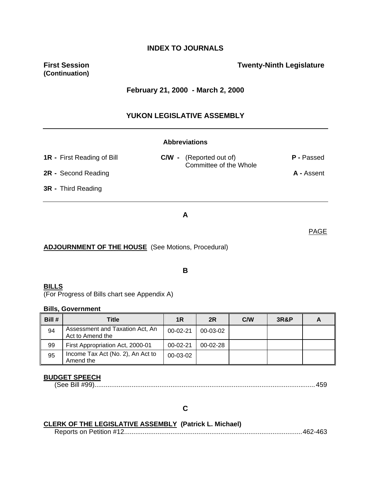### **INDEX TO JOURNALS**

**(Continuation)** 

### **First Session Contract Contract Contract Contract Contract Contract Contract Contract Contract Contract Contract Contract Contract Contract Contract Contract Contract Contract Contract Contract Contract Contract Contract**

#### **February 21, 2000 - March 2, 2000**

#### **YUKON LEGISLATIVE ASSEMBLY**

#### **Abbreviations**

| <b>1R</b> - First Reading of Bill | <b>C/W</b> - (Reported out of)<br>Committee of the Whole | P - Passed        |
|-----------------------------------|----------------------------------------------------------|-------------------|
| 2R - Second Reading               |                                                          | <b>A</b> - Assent |
| <b>3R</b> - Third Reading         |                                                          |                   |

#### **A**

#### **ADJOURNMENT OF THE HOUSE** (See Motions, Procedural)

#### **B**

#### **BILLS**

(For Progress of Bills chart see Appendix A)

#### **Bills, Government**

|        | <b>Bills, Government</b>                            |                |                |     |                 |   |
|--------|-----------------------------------------------------|----------------|----------------|-----|-----------------|---|
| Bill # | Title                                               | 1R             | 2R             | CMN | <b>3R&amp;P</b> | A |
| 94     | Assessment and Taxation Act, An<br>Act to Amend the | $00 - 02 - 21$ | 00-03-02       |     |                 |   |
| 99     | First Appropriation Act, 2000-01                    | 00-02-21       | $00 - 02 - 28$ |     |                 |   |
| 95     | Income Tax Act (No. 2), An Act to<br>Amend the      | 00-03-02       |                |     |                 |   |

### **BUDGET SPEECH**

(See Bill #99).......................................................................................................................459

### **C**

### **CLERK OF THE LEGISLATIVE ASSEMBLY (Patrick L. Michael)**

Reports on Petition #12................................................................................................462-463

PAGE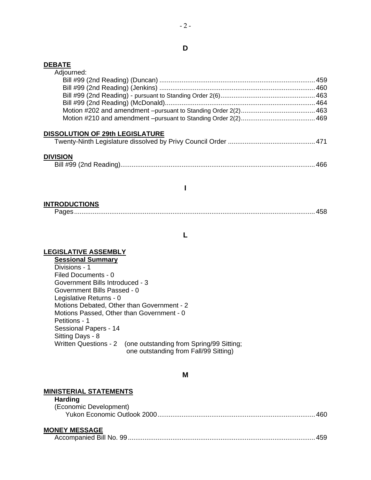#### **DEBATE**

| Adjourned: |  |
|------------|--|
|            |  |
|            |  |
|            |  |
|            |  |
|            |  |
|            |  |
|            |  |

#### **DISSOLUTION OF 29th LEGISLATURE**

|--|--|--|

#### **DIVISION**

### **I**

#### **INTRODUCTIONS**

#### **L**

#### **LEGISLATIVE ASSEMBLY**

**Sessional Summary** Divisions - 1 Filed Documents - 0 Government Bills Introduced - 3 Government Bills Passed - 0 Legislative Returns - 0 Motions Debated, Other than Government - 2 Motions Passed, Other than Government - 0 Petitions - 1 Sessional Papers - 14 Sitting Days - 8 Written Questions - 2 (one outstanding from Spring/99 Sitting; one outstanding from Fall/99 Sitting)

#### **M**

### **MINISTERIAL STATEMENTS**

### **Harding**

| (Economic Development) |  |
|------------------------|--|
|                        |  |

### **MONEY MESSAGE**

|--|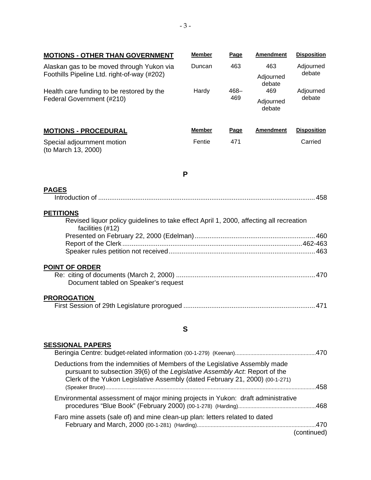| <b>MOTIONS - OTHER THAN GOVERNMENT</b>                                                                                          | Member        | Page           | <b>Amendment</b>           | <b>Disposition</b>  |  |
|---------------------------------------------------------------------------------------------------------------------------------|---------------|----------------|----------------------------|---------------------|--|
| Alaskan gas to be moved through Yukon via<br>Foothills Pipeline Ltd. right-of-way (#202)                                        | Duncan        | 463            | 463<br>Adjourned           | Adjourned<br>debate |  |
| Health care funding to be restored by the<br>Federal Government (#210)                                                          | Hardy         | $468 -$<br>469 | debate<br>469<br>Adjourned | Adjourned<br>debate |  |
|                                                                                                                                 |               |                | debate                     |                     |  |
| <b>MOTIONS - PROCEDURAL</b>                                                                                                     | <b>Member</b> | Page           | <b>Amendment</b>           | <b>Disposition</b>  |  |
| Special adjournment motion<br>(to March 13, 2000)                                                                               | Fentie        | 471            |                            | Carried             |  |
|                                                                                                                                 | P             |                |                            |                     |  |
| <b>PAGES</b>                                                                                                                    |               |                |                            |                     |  |
| <b>PETITIONS</b><br>Revised liquor policy guidelines to take effect April 1, 2000, affecting all recreation<br>facilities (#12) |               |                |                            |                     |  |
|                                                                                                                                 |               |                |                            |                     |  |
|                                                                                                                                 |               |                |                            |                     |  |
| <b>POINT OF ORDER</b><br>Document tabled on Speaker's request                                                                   |               |                |                            |                     |  |
| <b>PROROGATION</b>                                                                                                              |               |                |                            |                     |  |
|                                                                                                                                 | S             |                |                            |                     |  |

### **SESSIONAL PAPERS**

| Deductions from the indemnities of Members of the Legislative Assembly made<br>pursuant to subsection 39(6) of the Legislative Assembly Act. Report of the<br>Clerk of the Yukon Legislative Assembly (dated February 21, 2000) (00-1-271) |  |
|--------------------------------------------------------------------------------------------------------------------------------------------------------------------------------------------------------------------------------------------|--|
| 458                                                                                                                                                                                                                                        |  |
| Environmental assessment of major mining projects in Yukon: draft administrative                                                                                                                                                           |  |
| Faro mine assets (sale of) and mine clean-up plan: letters related to dated<br>continued)                                                                                                                                                  |  |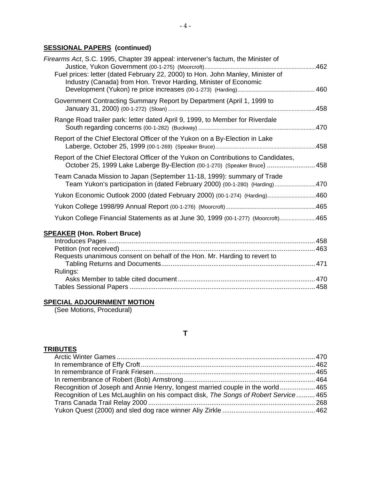### **SESSIONAL PAPERS (continued)**

| Firearms Act, S.C. 1995, Chapter 39 appeal: intervener's factum, the Minister of<br>Fuel prices: letter (dated February 22, 2000) to Hon. John Manley, Minister of |      |
|--------------------------------------------------------------------------------------------------------------------------------------------------------------------|------|
| Industry (Canada) from Hon. Trevor Harding, Minister of Economic                                                                                                   |      |
| Government Contracting Summary Report by Department (April 1, 1999 to                                                                                              |      |
| Range Road trailer park: letter dated April 9, 1999, to Member for Riverdale                                                                                       | 470  |
| Report of the Chief Electoral Officer of the Yukon on a By-Election in Lake                                                                                        |      |
| Report of the Chief Electoral Officer of the Yukon on Contributions to Candidates,<br>October 25, 1999 Lake Laberge By-Election (00-1-270) (Speaker Bruce)         | 458  |
| Team Canada Mission to Japan (September 11-18, 1999): summary of Trade<br>Team Yukon's participation in (dated February 2000) (00-1-280) (Harding)                 | .470 |
| Yukon Economic Outlook 2000 (dated February 2000) (00-1-274) (Harding)                                                                                             | .460 |
|                                                                                                                                                                    | 465  |
| Yukon College Financial Statements as at June 30, 1999 (00-1-277) (Moorcroft)465                                                                                   |      |
|                                                                                                                                                                    |      |

### **SPEAKER (Hon. Robert Bruce)**

| Requests unanimous consent on behalf of the Hon. Mr. Harding to revert to |  |
|---------------------------------------------------------------------------|--|
|                                                                           |  |
| Rulings:                                                                  |  |
|                                                                           |  |
|                                                                           |  |
|                                                                           |  |

### **SPECIAL ADJOURNMENT MOTION**

(See Motions, Procedural)

### **T**

### **TRIBUTES**

| Recognition of Joseph and Annie Henry, longest married couple in the world 465      |  |
|-------------------------------------------------------------------------------------|--|
| Recognition of Les McLaughlin on his compact disk, The Songs of Robert Service  465 |  |
|                                                                                     |  |
|                                                                                     |  |
|                                                                                     |  |